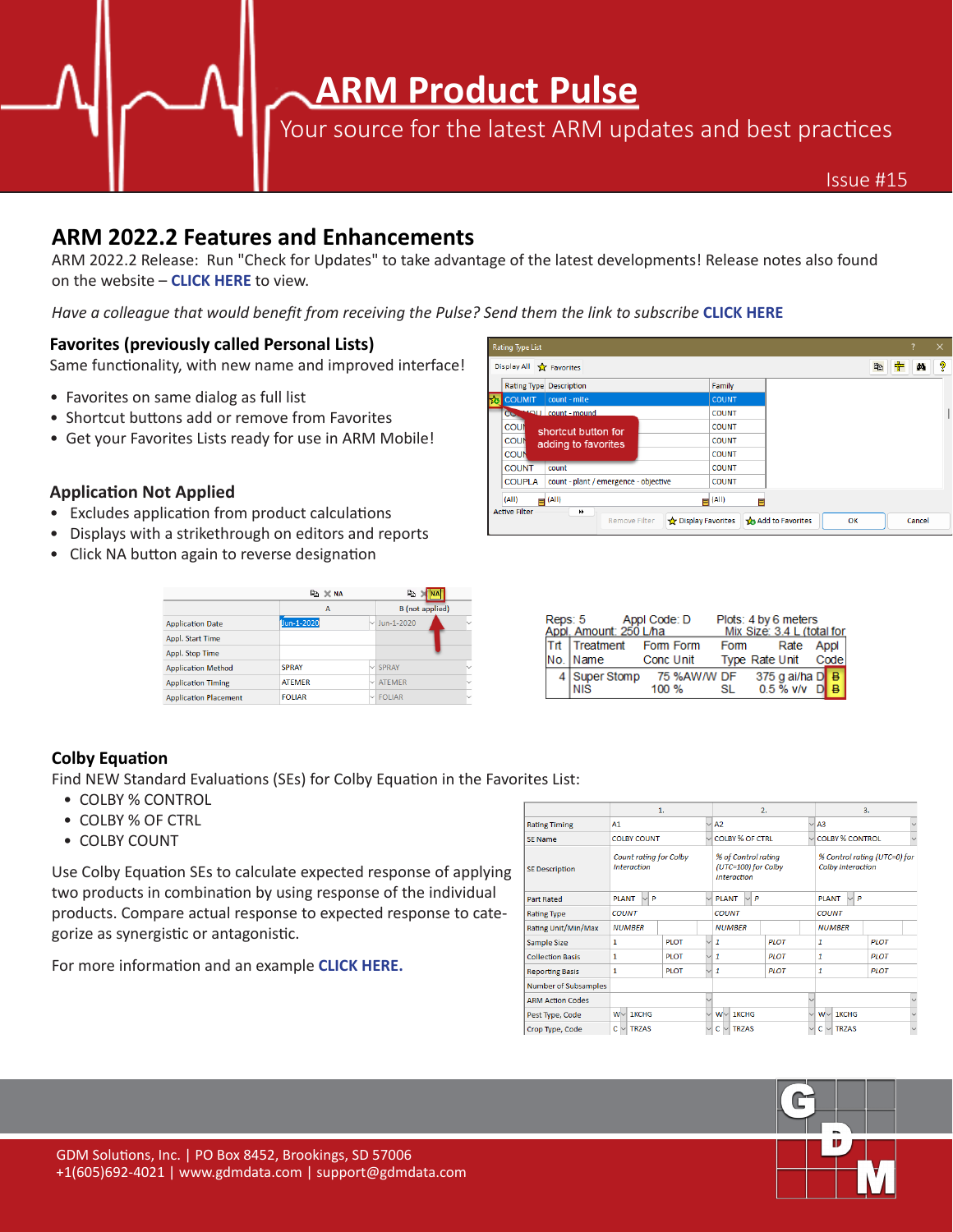**ARM Product Pulse**

Your source for the latest ARM updates and best practices

## **ARM 2022.2 Features and Enhancements**

ARM 2022.2 [Release: Run "Check f](https://www.gdmdata.com/Products/ARM/Updates/Release%20Notes/ARM%202022)or Updates" to take advantage of the latest developments! Release notes also found on the website – **CLICK HERE** to view.

*Have a colleague that would benefit from receiving the Pulse? Send them the link to subscribe* **[CLICK HERE](https://gdmdata.com/Support/Write%20To%20Us/?type=subscribe#form)**

### **Favorites (previously called Personal Lists)**

Same functionality, with new name and improved interface!

- Favorites on same dialog as full list
- Shortcut buttons add or remove from Favorites
- Get your Favorites Lists ready for use in ARM Mobile!

#### **Application Not Applied**

- Excludes application from product calculations
- Displays with a strikethrough on editors and reports
- Click NA button again to reverse designation

|                              | ha X NA        |                        | e,                |  |  |
|------------------------------|----------------|------------------------|-------------------|--|--|
|                              | A              | <b>B</b> (not applied) |                   |  |  |
| <b>Application Date</b>      | Uun-1-2020     |                        | $\vee$ Jun-1-2020 |  |  |
| Appl. Start Time             |                |                        |                   |  |  |
| Appl. Stop Time              |                |                        |                   |  |  |
| <b>Application Method</b>    | <b>SPRAY</b>   |                        | $\vee$ SPRAY      |  |  |
| <b>Application Timing</b>    | <b>ATEMER</b>  |                        | $\vee$ ATEMER     |  |  |
| <b>Application Placement</b> | <b>FOI IAR</b> |                        | $\vee$ FOLIAR     |  |  |

| <b>Rating Type List</b>         |                                       |                           |                  |        |        | $\times$ |
|---------------------------------|---------------------------------------|---------------------------|------------------|--------|--------|----------|
| Display All <b>xx</b> Favorites |                                       |                           |                  | 肀<br>电 | đå     | ್ಜಿ      |
|                                 | Rating Type Description               | Family                    |                  |        |        |          |
| <b>EXE</b> COUMIT               | count - mite                          | <b>COUNT</b>              |                  |        |        |          |
| ICC                             | count - mound                         | <b>COUNT</b>              |                  |        |        |          |
| <b>COUN</b>                     | shortcut button for                   | <b>COUNT</b>              |                  |        |        |          |
| <b>COUN</b>                     | adding to favorites                   | <b>COUNT</b>              |                  |        |        |          |
| <b>COUN</b>                     |                                       | <b>COUNT</b>              |                  |        |        |          |
| <b>COUNT</b>                    | count                                 | <b>COUNT</b>              |                  |        |        |          |
| <b>COUPLA</b>                   | count - plant / emergence - objective | <b>COUNT</b>              |                  |        |        |          |
| (A  )                           | $\equiv$ (All)                        | $\blacksquare$ (All)<br>Ħ |                  |        |        |          |
| <b>Active Filter</b>            | ₩<br><b>Remove Filter</b>             | Display Favorites         | Add to Favorites | OK     | Cancel |          |

|  | Reps: 5 Appl Code: D<br>Appl. Amount: 250 L/ha |           |             | Plots: 4 by 6 meters<br>Mix Size: 3.4 L (total for |  |                     |  |              |  |  |
|--|------------------------------------------------|-----------|-------------|----------------------------------------------------|--|---------------------|--|--------------|--|--|
|  | Trt Treatment Form Form                        |           |             | Form                                               |  | Rate                |  | Appl         |  |  |
|  | No.   Name                                     | Conc Unit |             |                                                    |  | Type Rate Unit Code |  |              |  |  |
|  | 4   Super Stomp                                |           | 75 %AW/W DF |                                                    |  | 375 g ai/ha D       |  | B            |  |  |
|  | I NIS                                          | 100%      |             | SL                                                 |  | $0.5\%$ V/V         |  | $\mathbf{B}$ |  |  |

### **Colby Equation**

Find NEW Standard Evaluations (SEs) for Colby Equation in the Favorites List:

- COLBY % CONTROL
- COLBY % OF CTRL
- COLBY COUNT

Use Colby Equation SEs to calculate expected response of applying two products in combination by using response of the individual products. Compare actual response to expected response to categorize as synergistic or antagonistic.

For more information and an example **[CLICK HERE.](https://gdmdata.com/media/documents/Colby%20Equation%20Quick%20Guide.pdf?v=1651606296)**

|                         | 1.                                                  |             |             | 2.                                                               |             |                  | 3.                                                |             |  |
|-------------------------|-----------------------------------------------------|-------------|-------------|------------------------------------------------------------------|-------------|------------------|---------------------------------------------------|-------------|--|
| <b>Rating Timing</b>    | A1<br>◡                                             |             |             | A <sub>2</sub><br>$\overline{\vee}$                              |             |                  | A <sub>3</sub>                                    |             |  |
| <b>SE Name</b>          | <b>COLBY COUNT</b>                                  |             |             | <b>COLBY % OF CTRL</b>                                           |             |                  | <b>COLBY % CONTROL</b>                            |             |  |
| <b>SE Description</b>   | <b>Count rating for Colby</b><br><b>Interaction</b> |             |             | % of Control rating<br>(UTC=100) for Colby<br><b>Interaction</b> |             |                  | % Control rating (UTC=0) for<br>Colby Interaction |             |  |
| <b>Part Rated</b>       | $\vee$ P<br><b>PLANT</b>                            |             |             | $\vee$ PLANT<br>$\vee$ P                                         |             |                  | P<br><b>PLANT</b><br>$\sim$                       |             |  |
| <b>Rating Type</b>      | <b>COUNT</b>                                        |             |             | <b>COUNT</b>                                                     |             |                  | <b>COUNT</b>                                      |             |  |
| Rating Unit/Min/Max     | <b>NUMBER</b>                                       |             |             | <b>NUMBER</b>                                                    |             |                  | <b>NUMBER</b>                                     |             |  |
| Sample Size             | 1                                                   | <b>PLOT</b> | $\vee$      | $\mathbf{1}$                                                     | <b>PLOT</b> |                  | 1                                                 | <b>PIOT</b> |  |
| <b>Collection Basis</b> | $\mathbf{1}$                                        | <b>PLOT</b> |             | $\vee$ 1                                                         | <b>PLOT</b> |                  | 1                                                 | <b>PLOT</b> |  |
| <b>Reporting Basis</b>  | 1                                                   | <b>PLOT</b> |             | $\vee$ 1<br><b>PLOT</b>                                          |             | 1                |                                                   | <b>PLOT</b> |  |
| Number of Subsamples    |                                                     |             |             |                                                                  |             |                  |                                                   |             |  |
| <b>ARM Action Codes</b> |                                                     |             |             |                                                                  |             |                  |                                                   |             |  |
| Pest Type, Code         | 1KCHG<br>W∨                                         |             | $\vee$      | $W\vee$ 1KCHG                                                    |             |                  | $\vee$ W $\vee$ 1KCHG                             |             |  |
| Crop Type, Code         | $C \vee T R ZAS$                                    |             | $\ddot{\ }$ | $C \vee T R ZAS$<br>$\overline{\phantom{0}}$                     |             | $C \vee T R ZAS$ |                                                   |             |  |